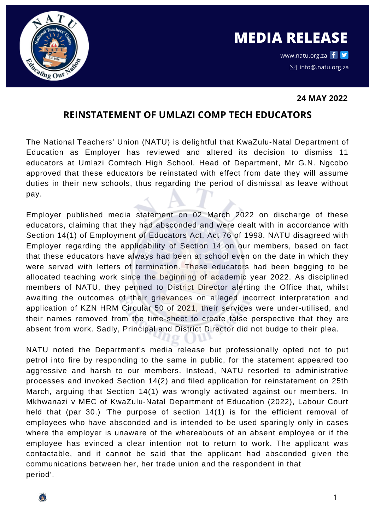

www.natu.org.za f  $\blacktriangleright$  $\boxdot$  info@.natu.org.za

## **24 MAY 2022**

## **REINSTATEMENT OF UMLAZI COMP TECH EDUCATORS**

The National Teachers' Union (NATU) is delightful that KwaZulu-Natal Department of Education as Employer has reviewed and altered its decision to dismiss 11 educators at Umlazi Comtech High School. Head of Department, Mr G.N. Ngcobo approved that these educators be reinstated with effect from date they will assume duties in their new schools, thus regarding the period of dismissal as leave without pay.

Employer published media statement on 02 March 2022 on discharge of these educators, claiming that they had absconded and were dealt with in accordance with Section 14(1) of Employment of Educators Act, Act 76 of 1998. NATU disagreed with Employer regarding the applicability of Section 14 on our members, based on fact that these educators have always had been at school even on the date in which they were served with letters of termination. These educators had been begging to be allocated teaching work since the beginning of academic year 2022. As disciplined members of NATU, they penned to District Director alerting the Office that, whilst awaiting the outcomes of their grievances on alleged incorrect interpretation and application of KZN HRM Circular 50 of 2021, their services were under-utilised, and their names removed from the time-sheet to create false perspective that they are absent from work. Sadly, Principal and District Director did not budge to their plea.

NATU noted the Department's media release but professionally opted not to put petrol into fire by responding to the same in public, for the statement appeared too aggressive and harsh to our members. Instead, NATU resorted to administrative processes and invoked Section 14(2) and filed application for reinstatement on 25th March, arguing that Section 14(1) was wrongly activated against our members. In Mkhwanazi v MEC of KwaZulu-Natal Department of Education (2022), Labour Court held that (par 30.) 'The purpose of section 14(1) is for the efficient removal of employees who have absconded and is intended to be used sparingly only in cases where the employer is unaware of the whereabouts of an absent employee or if the employee has evinced a clear intention not to return to work. The applicant was contactable, and it cannot be said that the applicant had absconded given the communications between her, her trade union and the respondent in that period'.